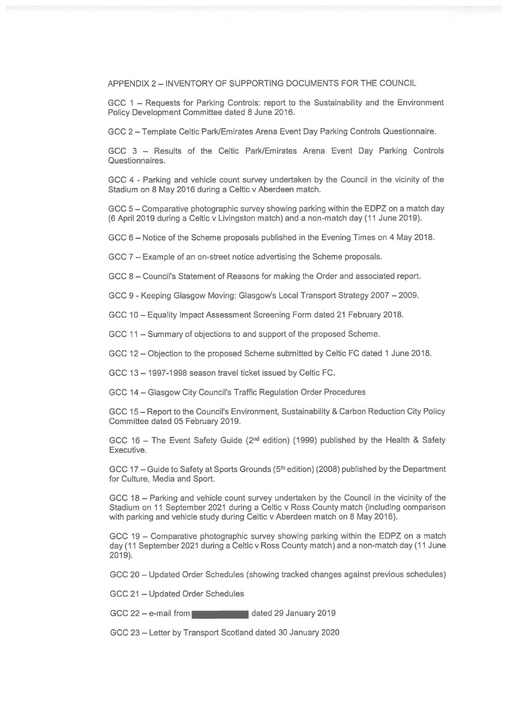APPENDIX 2 - INVENTORY OF SUPPORTING DOCUMENTS FOR THE COUNCIL

GCC 1 - Requests for Parking Controls: report to the Sustainability and the Environment Policy Development Committee dated 8 June 2016.

GCC 2 - Template Celtic Park/Emirates Arena Event Day Parking Controls Questionnaire.

GCC 3 - Results of the Celtic Park/Emirates Arena Event Day Parking Controls Questionnaires.

GCC 4 - Parking and vehicle count survey undertaken by the Council in the vicinity of the Stadium on 8 May 2016 during a Celtic v Aberdeen match.

GCC 5 - Comparative photographic survey showing parking within the EDPZ on a match day (6 April 2019 during a Celtic v Livingston match) and a non-match day ( 11 June 2019).

GCC 6 - Notice of the Scheme proposals published in the Evening Times on 4 May 2018.

GCC 7 - Example of an on-street notice advertising the Scheme proposals.

GCC 8 - Council's Statement of Reasons for making the Order and associated report.

GCC 9 - Keeping Glasgow Moving: Glasgow's Local Transport Strategy 2007 - 2009.

GCC 10 - Equality Impact Assessment Screening Form dated 21 February 2018.

GCC 11 - Summary of objections to and support of the proposed Scheme.

GCC 12 - Objection to the proposed Scheme submitted by Celtic FC dated 1 June 2018.

GCC 13 - 1997-1998 season travel ticket issued by Celtic FC.

GCC 14 - Glasgow City Council's Traffic Regulation Order Procedures

GCC 15 - Report to the Council's Environment, Sustainability &Carbon Reduction City Policy Committee dated 05 February 2019.

GCC 16 - The Event Safety Guide ( $2<sup>nd</sup>$  edition) (1999) published by the Health & Safety Executive.

GCC 17 – Guide to Safety at Sports Grounds (5<sup>th</sup> edition) (2008) published by the Department for Culture, Media and Sport.

GCC 18 - Parking and vehicle count survey undertaken by the Council in the vicinity of the Stadium on 11 September 2021 during a Celtic v Ross County match (including comparison with parking and vehicle study during Celtic v Aberdeen match on 8 May 2016).

GCC 19 - Comparative photographic survey showing parking within the EDPZ on a match day (11 September 2021 during a Celtic v Ross County match) and a non-match day (11 June 2019).

GCC 20 - Updated Order Schedules (showing tracked changes against previous schedules)

GCC 21 - Updated Order Schedules

GCC 22 - e-mail from ••••• dated 29 January 2019

GCC 23 - Letter by Transport Scotland dated 30 January 2020